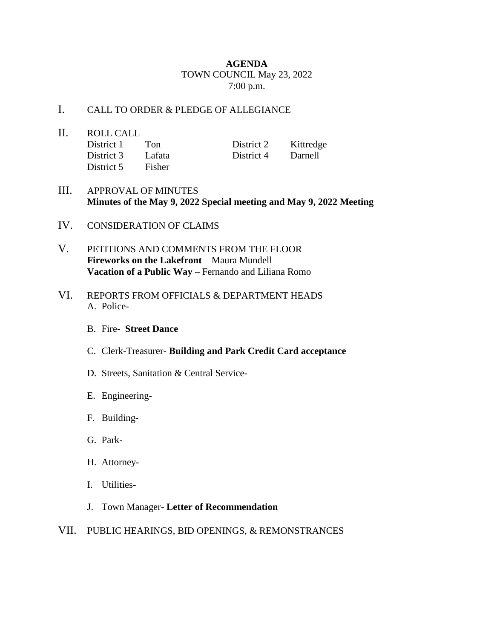## **AGENDA** TOWN COUNCIL May 23, 2022 7:00 p.m.

## I. CALL TO ORDER & PLEDGE OF ALLEGIANCE

- II. ROLL CALL District 1 Ton District 2 Kittredge District 3 Lafata District 4 Darnell District 5 Fisher
- III. APPROVAL OF MINUTES **Minutes of the May 9, 2022 Special meeting and May 9, 2022 Meeting**
- IV. CONSIDERATION OF CLAIMS
- V. PETITIONS AND COMMENTS FROM THE FLOOR **Fireworks on the Lakefront** – Maura Mundell **Vacation of a Public Way** – Fernando and Liliana Romo
- VI. REPORTS FROM OFFICIALS & DEPARTMENT HEADS A. Police-
	- B. Fire- **Street Dance**
	- C. Clerk-Treasurer- **Building and Park Credit Card acceptance**
	- D. Streets, Sanitation & Central Service-
	- E. Engineering-
	- F. Building-
	- G. Park-
	- H. Attorney-
	- I. Utilities-
	- J. Town Manager- **Letter of Recommendation**
- VII. PUBLIC HEARINGS, BID OPENINGS, & REMONSTRANCES